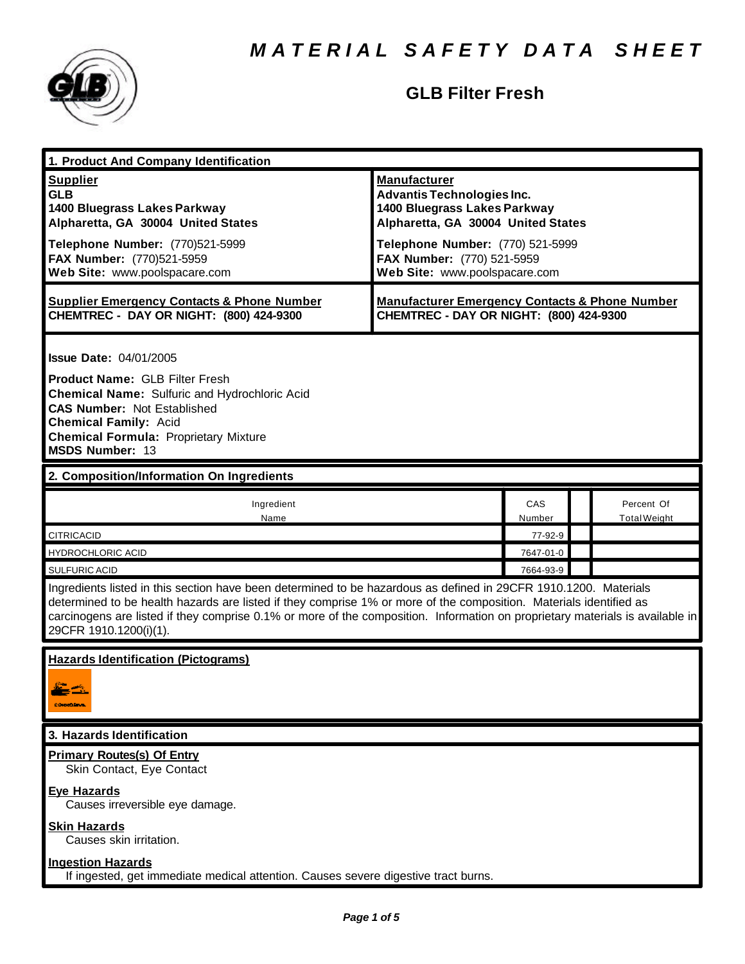

## **GLB Filter Fresh**

| 1. Product And Company Identification                                                                                                                                                                                                                                                                                                                                                             |                                                                                                                                                                                                                                   |               |  |                                   |  |
|---------------------------------------------------------------------------------------------------------------------------------------------------------------------------------------------------------------------------------------------------------------------------------------------------------------------------------------------------------------------------------------------------|-----------------------------------------------------------------------------------------------------------------------------------------------------------------------------------------------------------------------------------|---------------|--|-----------------------------------|--|
| <b>Supplier</b><br><b>GLB</b><br>1400 Bluegrass Lakes Parkway<br>Alpharetta, GA 30004 United States<br>Telephone Number: (770)521-5999<br>FAX Number: (770)521-5959<br>Web Site: www.poolspacare.com                                                                                                                                                                                              | <b>Manufacturer</b><br><b>Advantis Technologies Inc.</b><br>1400 Bluegrass Lakes Parkway<br>Alpharetta, GA 30004 United States<br>Telephone Number: (770) 521-5999<br>FAX Number: (770) 521-5959<br>Web Site: www.poolspacare.com |               |  |                                   |  |
| <b>Supplier Emergency Contacts &amp; Phone Number</b><br>CHEMTREC - DAY OR NIGHT: (800) 424-9300                                                                                                                                                                                                                                                                                                  | <b>Manufacturer Emergency Contacts &amp; Phone Number</b><br>CHEMTREC - DAY OR NIGHT: (800) 424-9300                                                                                                                              |               |  |                                   |  |
| <b>Issue Date: 04/01/2005</b><br><b>Product Name: GLB Filter Fresh</b><br><b>Chemical Name: Sulfuric and Hydrochloric Acid</b><br><b>CAS Number: Not Established</b><br><b>Chemical Family: Acid</b><br><b>Chemical Formula: Proprietary Mixture</b><br><b>MSDS Number: 13</b>                                                                                                                    |                                                                                                                                                                                                                                   |               |  |                                   |  |
| 2. Composition/Information On Ingredients                                                                                                                                                                                                                                                                                                                                                         |                                                                                                                                                                                                                                   |               |  |                                   |  |
| Ingredient<br>Name                                                                                                                                                                                                                                                                                                                                                                                |                                                                                                                                                                                                                                   | CAS<br>Number |  | Percent Of<br><b>Total Weight</b> |  |
| <b>CITRICACID</b>                                                                                                                                                                                                                                                                                                                                                                                 |                                                                                                                                                                                                                                   | 77-92-9       |  |                                   |  |
| HYDROCHLORIC ACID                                                                                                                                                                                                                                                                                                                                                                                 |                                                                                                                                                                                                                                   | 7647-01-0     |  |                                   |  |
| <b>SULFURIC ACID</b>                                                                                                                                                                                                                                                                                                                                                                              |                                                                                                                                                                                                                                   | 7664-93-9     |  |                                   |  |
| Ingredients listed in this section have been determined to be hazardous as defined in 29CFR 1910.1200. Materials<br>determined to be health hazards are listed if they comprise 1% or more of the composition. Materials identified as<br>carcinogens are listed if they comprise 0.1% or more of the composition. Information on proprietary materials is available in<br>29CFR 1910.1200(i)(1). |                                                                                                                                                                                                                                   |               |  |                                   |  |
| <b>Hazards Identification (Pictograms)</b><br>CONNECTIONS:                                                                                                                                                                                                                                                                                                                                        |                                                                                                                                                                                                                                   |               |  |                                   |  |
| 3. Hazards Identification                                                                                                                                                                                                                                                                                                                                                                         |                                                                                                                                                                                                                                   |               |  |                                   |  |
| <b>Primary Routes(s) Of Entry</b><br>Skin Contact, Eye Contact                                                                                                                                                                                                                                                                                                                                    |                                                                                                                                                                                                                                   |               |  |                                   |  |
| <b>Eye Hazards</b><br>Causes irreversible eye damage.                                                                                                                                                                                                                                                                                                                                             |                                                                                                                                                                                                                                   |               |  |                                   |  |
| <b>Skin Hazards</b><br>Causes skin irritation.                                                                                                                                                                                                                                                                                                                                                    |                                                                                                                                                                                                                                   |               |  |                                   |  |
| <b>Ingestion Hazards</b><br>If ingested, get immediate medical attention. Causes severe digestive tract burns.                                                                                                                                                                                                                                                                                    |                                                                                                                                                                                                                                   |               |  |                                   |  |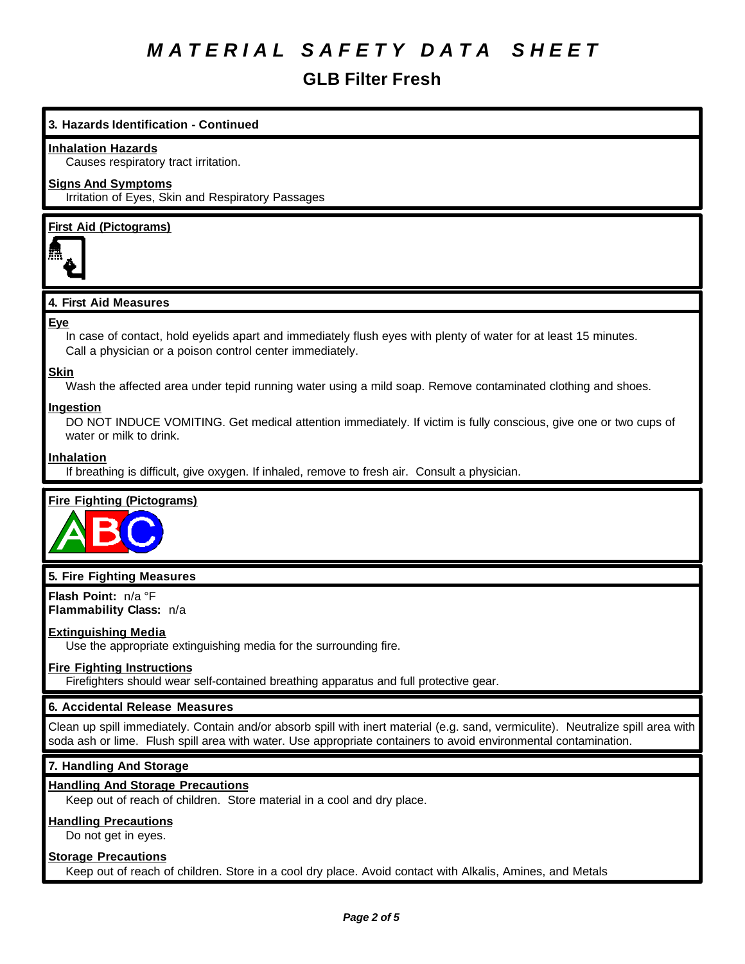## **GLB Filter Fresh**

## **3. Hazards Identification - Continued**

#### **Inhalation Hazards**

Causes respiratory tract irritation.

#### **Signs And Symptoms**

Irritation of Eyes, Skin and Respiratory Passages

## **First Aid (Pictograms)**



### **4. First Aid Measures**

#### **Eye**

In case of contact, hold eyelids apart and immediately flush eyes with plenty of water for at least 15 minutes. Call a physician or a poison control center immediately.

#### **Skin**

Wash the affected area under tepid running water using a mild soap. Remove contaminated clothing and shoes.

#### **Ingestion**

DO NOT INDUCE VOMITING. Get medical attention immediately. If victim is fully conscious, give one or two cups of water or milk to drink.

#### **Inhalation**

If breathing is difficult, give oxygen. If inhaled, remove to fresh air. Consult a physician.

### **Fire Fighting (Pictograms)**



### **5. Fire Fighting Measures**

**Flash Point:** n/a °F **Flammability Class:** n/a

#### **Extinguishing Media**

Use the appropriate extinguishing media for the surrounding fire.

#### **Fire Fighting Instructions**

Firefighters should wear self-contained breathing apparatus and full protective gear.

### **6. Accidental Release Measures**

Clean up spill immediately. Contain and/or absorb spill with inert material (e.g. sand, vermiculite). Neutralize spill area with soda ash or lime. Flush spill area with water. Use appropriate containers to avoid environmental contamination.

## **7. Handling And Storage**

#### **Handling And Storage Precautions**

Keep out of reach of children. Store material in a cool and dry place.

## **Handling Precautions**

Do not get in eyes.

#### **Storage Precautions**

Keep out of reach of children. Store in a cool dry place. Avoid contact with Alkalis, Amines, and Metals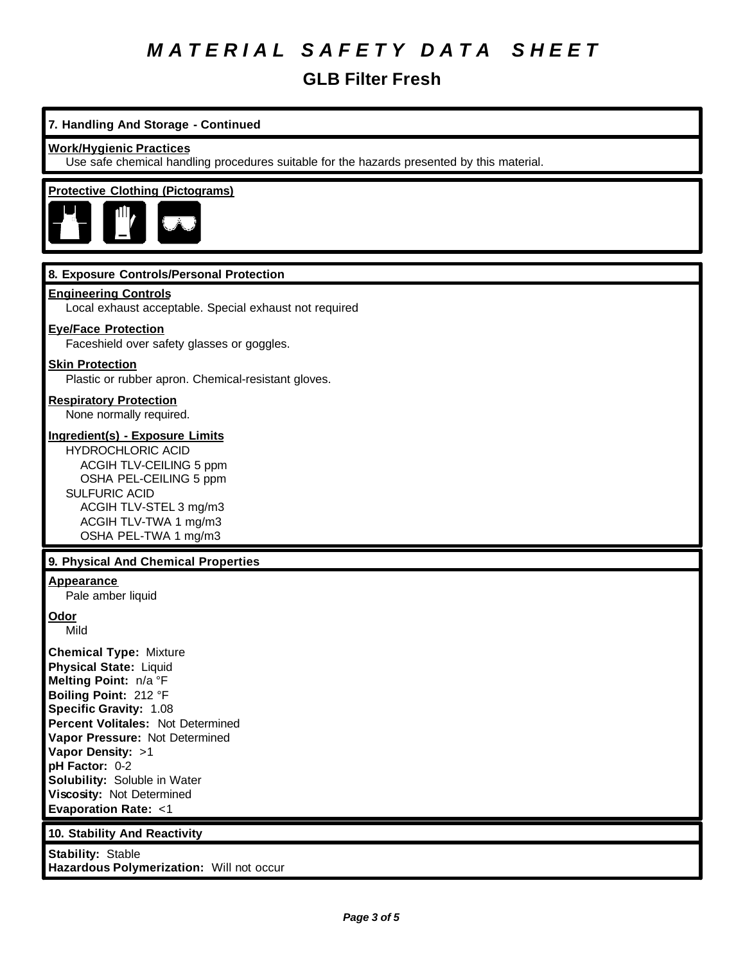**GLB Filter Fresh**

## **7. Handling And Storage - Continued**

#### **Work/Hygienic Practices**

Use safe chemical handling procedures suitable for the hazards presented by this material.

## **Protective Clothing (Pictograms)**



### **8. Exposure Controls/Personal Protection**

#### **Engineering Controls**

Local exhaust acceptable. Special exhaust not required

#### **Eye/Face Protection**

Faceshield over safety glasses or goggles.

#### **Skin Protection**

Plastic or rubber apron. Chemical-resistant gloves.

## **Respiratory Protection**

None normally required.

## **Ingredient(s) - Exposure Limits**

HYDROCHLORIC ACID ACGIH TLV-CEILING 5 ppm OSHA PEL-CEILING 5 ppm SULFURIC ACID ACGIH TLV-STEL 3 mg/m3 ACGIH TLV-TWA 1 mg/m3 OSHA PEL-TWA 1 mg/m3

#### **9. Physical And Chemical Properties**

#### **Appearance**

Pale amber liquid

**Odor**

Mild

**Chemical Type:** Mixture **Physical State:** Liquid **Melting Point:** n/a °F **Boiling Point:** 212 °F **Specific Gravity:** 1.08 **Percent Volitales:** Not Determined **Vapor Pressure:** Not Determined **Vapor Density:** >1 **pH Factor:** 0-2 **Solubility:** Soluble in Water **Viscosity:** Not Determined **Evaporation Rate:** <1

#### **10. Stability And Reactivity**

**Stability:** Stable **Hazardous Polymerization:** Will not occur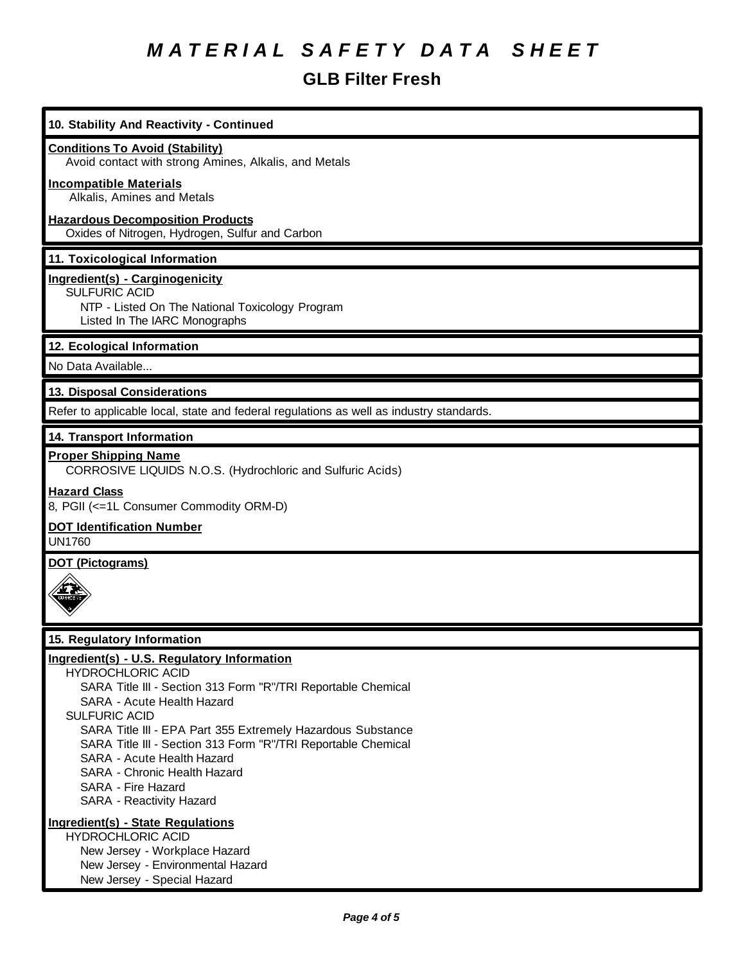## **GLB Filter Fresh**

| 10. Stability And Reactivity - Continued                                                                                                                                                                                                                                                                                                                                                                                                       |
|------------------------------------------------------------------------------------------------------------------------------------------------------------------------------------------------------------------------------------------------------------------------------------------------------------------------------------------------------------------------------------------------------------------------------------------------|
| <b>Conditions To Avoid (Stability)</b><br>Avoid contact with strong Amines, Alkalis, and Metals                                                                                                                                                                                                                                                                                                                                                |
| <b>Incompatible Materials</b><br>Alkalis, Amines and Metals                                                                                                                                                                                                                                                                                                                                                                                    |
| <b>Hazardous Decomposition Products</b><br>Oxides of Nitrogen, Hydrogen, Sulfur and Carbon                                                                                                                                                                                                                                                                                                                                                     |
| 11. Toxicological Information                                                                                                                                                                                                                                                                                                                                                                                                                  |
| Ingredient(s) - Carginogenicity<br>SULFURIC ACID<br>NTP - Listed On The National Toxicology Program<br>Listed In The IARC Monographs                                                                                                                                                                                                                                                                                                           |
| 12. Ecological Information                                                                                                                                                                                                                                                                                                                                                                                                                     |
| No Data Available                                                                                                                                                                                                                                                                                                                                                                                                                              |
| 13. Disposal Considerations                                                                                                                                                                                                                                                                                                                                                                                                                    |
| Refer to applicable local, state and federal regulations as well as industry standards.                                                                                                                                                                                                                                                                                                                                                        |
| 14. Transport Information                                                                                                                                                                                                                                                                                                                                                                                                                      |
| <b>Proper Shipping Name</b><br>CORROSIVE LIQUIDS N.O.S. (Hydrochloric and Sulfuric Acids)                                                                                                                                                                                                                                                                                                                                                      |
| <b>Hazard Class</b><br>8, PGII (<=1L Consumer Commodity ORM-D)                                                                                                                                                                                                                                                                                                                                                                                 |
| <b>DOT Identification Number</b><br><b>UN1760</b>                                                                                                                                                                                                                                                                                                                                                                                              |
| <b>DOT (Pictograms)</b>                                                                                                                                                                                                                                                                                                                                                                                                                        |
|                                                                                                                                                                                                                                                                                                                                                                                                                                                |
| 15. Regulatory Information                                                                                                                                                                                                                                                                                                                                                                                                                     |
| Ingredient(s) - U.S. Regulatory Information<br><b>HYDROCHLORIC ACID</b><br>SARA Title III - Section 313 Form "R"/TRI Reportable Chemical<br>SARA - Acute Health Hazard<br><b>SULFURIC ACID</b><br>SARA Title III - EPA Part 355 Extremely Hazardous Substance<br>SARA Title III - Section 313 Form "R"/TRI Reportable Chemical<br>SARA - Acute Health Hazard<br>SARA - Chronic Health Hazard<br>SARA - Fire Hazard<br>SARA - Reactivity Hazard |
| Ingredient(s) - State Regulations<br><b>HYDROCHLORIC ACID</b><br>New Jersey - Workplace Hazard<br>New Jersey - Environmental Hazard<br>New Jersey - Special Hazard                                                                                                                                                                                                                                                                             |